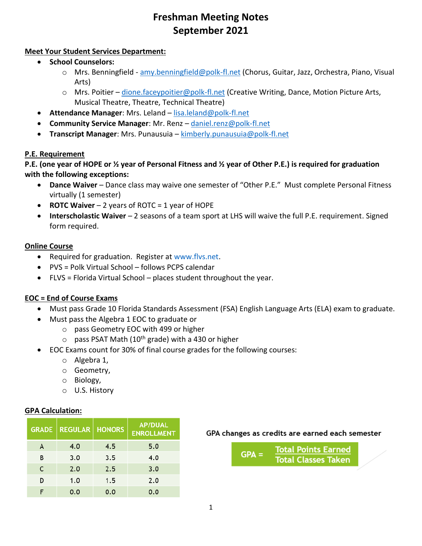# **Freshman Meeting Notes September 2021**

#### **Meet Your Student Services Department:**

- **School Counselors:**
	- o Mrs. Benningfield [amy.benningfield@polk-fl.net](mailto:amy.benningfield@polk-fl.net) (Chorus, Guitar, Jazz, Orchestra, Piano, Visual Arts)
	- $\circ$  Mrs. Poitier [dione.faceypoitier@polk-fl.net](mailto:dione.faceypoitier@polk-fl.net) (Creative Writing, Dance, Motion Picture Arts, Musical Theatre, Theatre, Technical Theatre)
- **Attendance Manager**: Mrs. Leland [lisa.leland@polk-fl.net](mailto:lisa.leland@polk-fl.net)
- **Community Service Manager**: Mr. Renz [daniel.renz@polk-fl.net](mailto:daniel.renz@polk-fl.net)
- **Transcript Manager**: Mrs. Punausuia [kimberly.punausuia@polk-fl.net](mailto:kimberly.punausuia@polk-fl.net)

### **P.E. Requirement**

**P.E. (one year of HOPE or ½ year of Personal Fitness and ½ year of Other P.E.) is required for graduation with the following exceptions:**

- **Dance Waiver** Dance class may waive one semester of "Other P.E." Must complete Personal Fitness virtually (1 semester)
- **ROTC Waiver** 2 years of ROTC = 1 year of HOPE
- **Interscholastic Waiver** 2 seasons of a team sport at LHS will waive the full P.E. requirement. Signed form required.

### **Online Course**

- Required for graduation. Register at [www.flvs.net.](http://www.flvs.net/)
- PVS = Polk Virtual School follows PCPS calendar
- FLVS = Florida Virtual School places student throughout the year.

## **EOC = End of Course Exams**

- Must pass Grade 10 Florida Standards Assessment (FSA) English Language Arts (ELA) exam to graduate.
- Must pass the Algebra 1 EOC to graduate or
	- o pass Geometry EOC with 499 or higher
	- $\circ$  pass PSAT Math (10<sup>th</sup> grade) with a 430 or higher
- EOC Exams count for 30% of final course grades for the following courses:
	- o Algebra 1,
	- o Geometry,
	- o Biology,
	- o U.S. History

#### **GPA Calculation:**

|   | <b>GRADE   REGULAR  </b> | <b>HONORS</b> | <b>AP/DUAL</b><br><b>ENROLLMENT</b> |
|---|--------------------------|---------------|-------------------------------------|
| A | 4.0                      | 4.5           | 5.0                                 |
| в | 3.0                      | 3.5           | 4.0                                 |
| C | 2.0                      | 2.5           | 3.0                                 |
| D | 1.0                      | 1.5           | 2.0                                 |
|   | 0.0                      | 0.0           | 0.0                                 |

#### GPA changes as credits are earned each semester

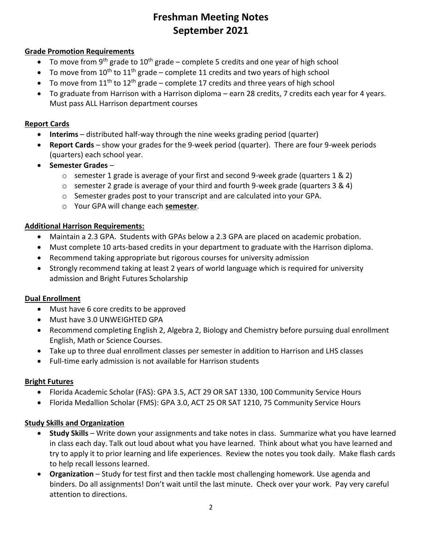# **Freshman Meeting Notes September 2021**

#### **Grade Promotion Requirements**

- To move from 9<sup>th</sup> grade to 10<sup>th</sup> grade complete 5 credits and one year of high school
- To move from  $10^{th}$  to  $11^{th}$  grade complete 11 credits and two years of high school
- To move from 11<sup>th</sup> to 12<sup>th</sup> grade complete 17 credits and three years of high school
- To graduate from Harrison with a Harrison diploma earn 28 credits, 7 credits each year for 4 years. Must pass ALL Harrison department courses

#### **Report Cards**

- **Interims**  distributed half-way through the nine weeks grading period (quarter)
- **Report Cards** show your grades for the 9-week period (quarter). There are four 9-week periods (quarters) each school year.
- **Semester Grades**
	- $\circ$  semester 1 grade is average of your first and second 9-week grade (quarters 1 & 2)
	- o semester 2 grade is average of your third and fourth 9-week grade (quarters 3 & 4)
	- $\circ$  Semester grades post to your transcript and are calculated into your GPA.
	- o Your GPA will change each **semester**.

#### **Additional Harrison Requirements:**

- Maintain a 2.3 GPA. Students with GPAs below a 2.3 GPA are placed on academic probation.
- Must complete 10 arts-based credits in your department to graduate with the Harrison diploma.
- Recommend taking appropriate but rigorous courses for university admission
- Strongly recommend taking at least 2 years of world language which is required for university admission and Bright Futures Scholarship

#### **Dual Enrollment**

- Must have 6 core credits to be approved
- Must have 3.0 UNWEIGHTED GPA
- Recommend completing English 2, Algebra 2, Biology and Chemistry before pursuing dual enrollment English, Math or Science Courses.
- Take up to three dual enrollment classes per semester in addition to Harrison and LHS classes
- Full-time early admission is not available for Harrison students

#### **Bright Futures**

- Florida Academic Scholar (FAS): GPA 3.5, ACT 29 OR SAT 1330, 100 Community Service Hours
- Florida Medallion Scholar (FMS): GPA 3.0, ACT 25 OR SAT 1210, 75 Community Service Hours

#### **Study Skills and Organization**

- **Study Skills** Write down your assignments and take notes in class. Summarize what you have learned in class each day. Talk out loud about what you have learned. Think about what you have learned and try to apply it to prior learning and life experiences. Review the notes you took daily. Make flash cards to help recall lessons learned.
- **Organization** Study for test first and then tackle most challenging homework. Use agenda and binders. Do all assignments! Don't wait until the last minute. Check over your work. Pay very careful attention to directions.